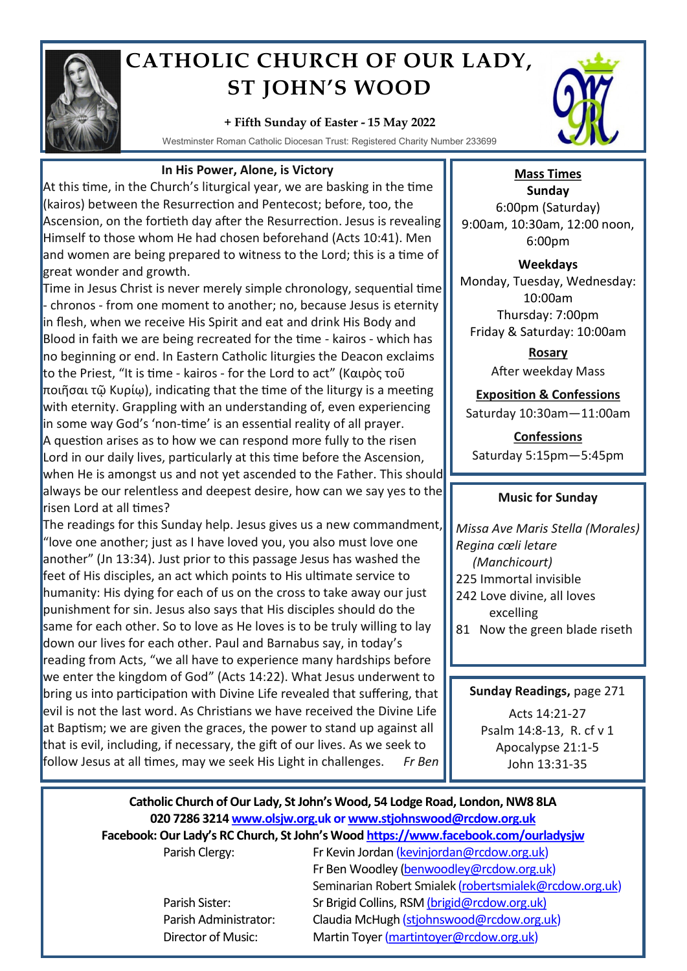

# **CATHOLIC CHURCH OF OUR LADY, ST JOHN'S WOOD**

#### **+ Fifth Sunday of Easter - 15 May 2022**

Westminster Roman Catholic Diocesan Trust: Registered Charity Number 233699



## **In His Power, Alone, is Victory**

At this time, in the Church's liturgical year, we are basking in the time (kairos) between the Resurrection and Pentecost; before, too, the Ascension, on the fortieth day after the Resurrection. Jesus is revealing Himself to those whom He had chosen beforehand (Acts 10:41). Men and women are being prepared to witness to the Lord; this is a time of great wonder and growth.

Time in Jesus Christ is never merely simple chronology, sequential time - chronos - from one moment to another; no, because Jesus is eternity in flesh, when we receive His Spirit and eat and drink His Body and Blood in faith we are being recreated for the time - kairos - which has no beginning or end. In Eastern Catholic liturgies the [Deacon](https://en.wikipedia.org/wiki/Deacon) exclaims to the [Priest](https://en.wikipedia.org/wiki/Priest), "It is time - kairos - for the Lord to act" (Καιρὸς τοῦ ποιῆσαι τῷ Κυρίῳ), indicating that the time of the liturgy is a meeting with eternity. Grappling with an understanding of, even experiencing in some way God's 'non-time' is an essential reality of all prayer. A question arises as to how we can respond more fully to the risen Lord in our daily lives, particularly at this time before the Ascension, when He is amongst us and not yet ascended to the Father. This should always be our relentless and deepest desire, how can we say yes to the risen Lord at all times?

The readings for this Sunday help. Jesus gives us a new commandment, "love one another; just as I have loved you, you also must love one another" (Jn 13:34). Just prior to this passage Jesus has washed the feet of His disciples, an act which points to His ultimate service to humanity: His dying for each of us on the cross to take away our just punishment for sin. Jesus also says that His disciples should do the same for each other. So to love as He loves is to be truly willing to lay down our lives for each other. Paul and Barnabus say, in today's reading from Acts, "we all have to experience many hardships before we enter the kingdom of God" (Acts 14:22). What Jesus underwent to bring us into participation with Divine Life revealed that suffering, that evil is not the last word. As Christians we have received the Divine Life at Baptism; we are given the graces, the power to stand up against all that is evil, including, if necessary, the gift of our lives. As we seek to follow Jesus at all times, may we seek His Light in challenges. *Fr Ben*

## **Mass Times**

**Sunday** 6:00pm (Saturday) 9:00am, 10:30am, 12:00 noon, 6:00pm

**Weekdays** Monday, Tuesday, Wednesday: 10:00am Thursday: 7:00pm Friday & Saturday: 10:00am

> **Rosary** After weekday Mass

## **Exposition & Confessions**

Saturday 10:30am—11:00am

**Confessions**  Saturday 5:15pm—5:45pm

## **Music for Sunday**

*Missa Ave Maris Stella (Morales) Regina cœli letare (Manchicourt)* 225 Immortal invisible 242 Love divine, all loves excelling 81 Now the green blade riseth

**Sunday Readings,** page 271

Acts 14:21-27 Psalm 14:8-13, R. cf v 1 Apocalypse 21:1-5 John 13:31-35

## **Catholic Church of Our Lady, St John's Wood, 54 Lodge Road, London, NW8 8LA 020 7286 3214 www.olsjw.org.uk or www.stjohnswood@rcdow.org.uk Facebook: Our Lady's RC Church, St John's Wood https://www.facebook.com/ourladysjw**

Parish Clergy: Fr Kevin Jordan (kevinjordan@rcdow.org.uk) Fr Ben Woodley (benwoodley@rcdow.org.uk) Seminarian Robert Smialek (robertsmialek@rcdow.org.uk) Parish Sister: Sr Brigid Collins, RSM (brigid@rcdow.org.uk) Parish Administrator: Claudia McHugh (stjohnswood@rcdow.org.uk) Director of Music: Martin Toyer (martintoyer@rcdow.org.uk)